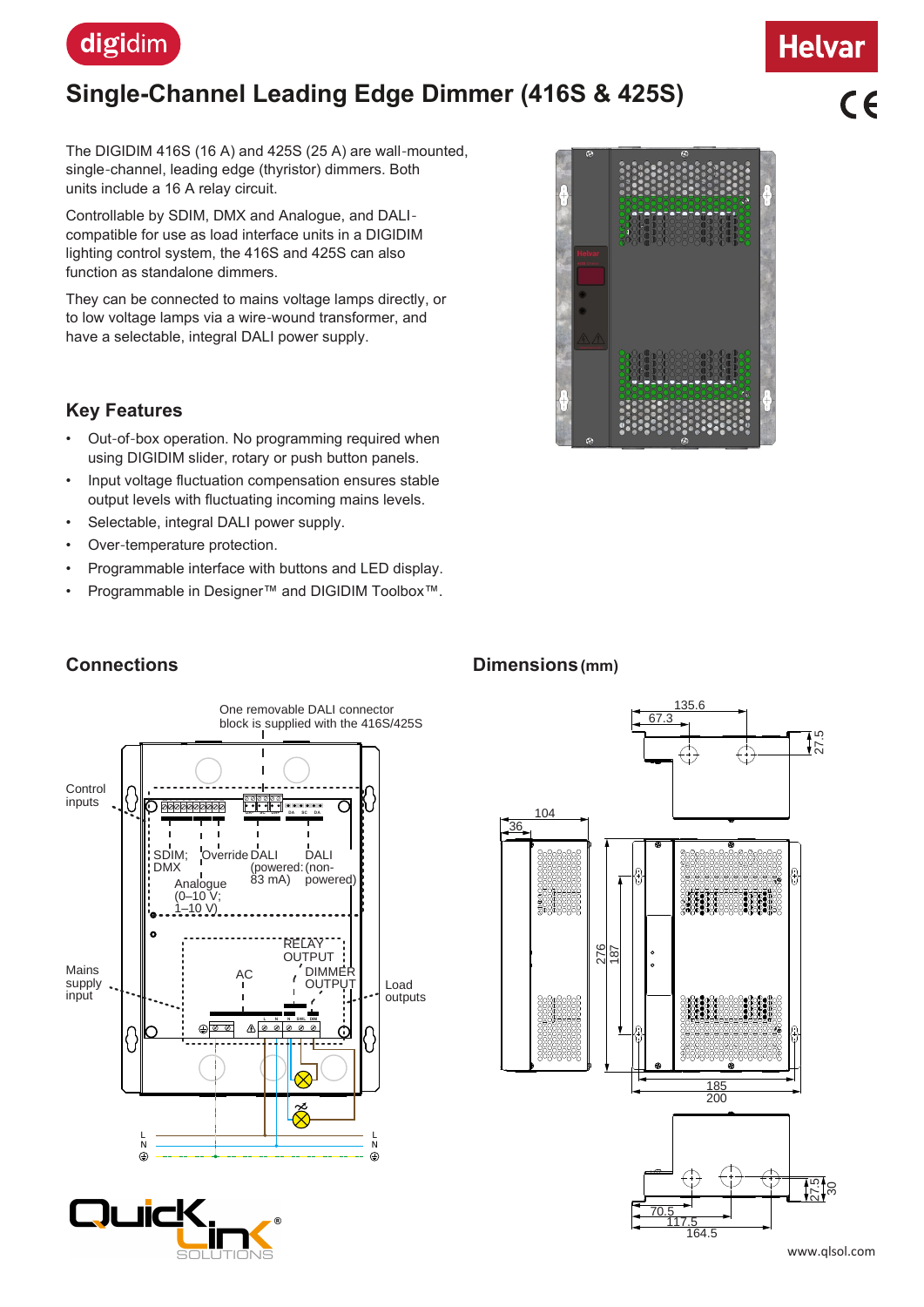

## **Single-Channel Leading Edge Dimmer (416S & 425S)**

 $\epsilon$ 

**Helvar** 

The DIGIDIM 416S (16 A) and 425S (25 A) are wall-mounted, single-channel, leading edge (thyristor) dimmers. Both units include a 16 A relay circuit.

Controllable by SDIM, DMX and Analogue, and DALIcompatible for use as load interface units in a DIGIDIM lighting control system, the 416S and 425S can also function as standalone dimmers.

They can be connected to mains voltage lamps directly, or to low voltage lamps via a wire-wound transformer, and have a selectable, integral DALI power supply.

#### **Key Features**

**Connections**

- Out-of-box operation. No programming required when using DIGIDIM slider, rotary or push button panels.
- Input voltage fluctuation compensation ensures stable output levels with fluctuating incoming mains levels.
- Selectable, integral DALI power supply.
- Over-temperature protection.
- Programmable interface with buttons and LED display.
- Programmable in Designer™ and DIGIDIM Toolbox™.



# **de la seconda de la p**

#### **Dimensions (mm)**